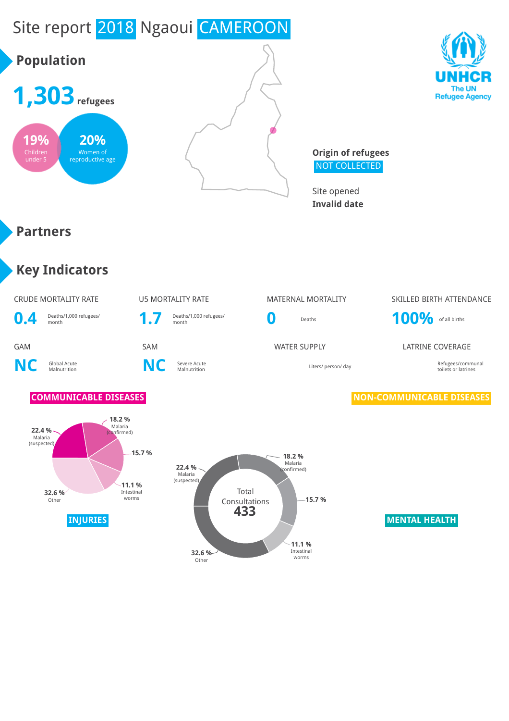# Site report 2018 Ngaoui CAMEROON

# **Population**







**Origin of refugees** NOT COLLECTED

Site opened **Invalid date**

#### **Partners**

### **Key Indicators**

#### CRUDE MORTALITY RATE **US MORTALITY RATE MATERNAL MORTALITY** SKILLED BIRTH ATTENDANCE

**0.4** Deaths/1,000 refugees/<br> **1.7** Deaths/1,000 refugees/<br> **1.7** Deaths/1,000 refugees/

#### **NC** Global Acute **C** Severe Acute<br>Malnutrition **NC** Severe Acute





## Deaths/1,000 refugees/<br>month **100%** of all births

GAM SAM SAM SAM WATER SUPPLY LATRINE COVERAGE

Malnutrition Liters/ person/ day Refugees/communal toilets or latrines

#### **COMMUNICABLE DISEASES NON-COMMUNICABLE DISEASES**

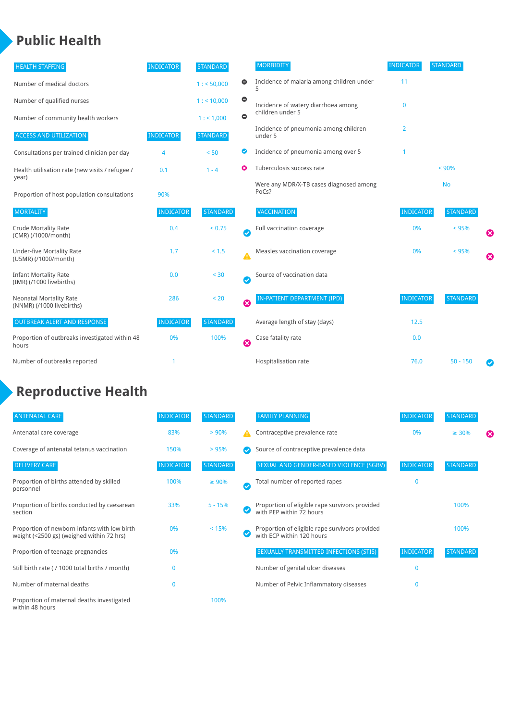### **Public Health**

| <b>HEALTH STAFFING</b>                                      | <b>INDICATOR</b> | <b>STANDARD</b> |                        | <b>MORBIDITY</b>                                 | <b>INDICATOR</b> | <b>STANDARD</b> |   |
|-------------------------------------------------------------|------------------|-----------------|------------------------|--------------------------------------------------|------------------|-----------------|---|
| Number of medical doctors                                   |                  | 1: 50,000       | 0                      | Incidence of malaria among children under        | 11               |                 |   |
| Number of qualified nurses                                  |                  | 1:10,000        | $\bullet$              | Incidence of watery diarrhoea among              | $\mathbf 0$      |                 |   |
| Number of community health workers                          |                  | 1: 1,000        | $\bullet$              | children under 5                                 |                  |                 |   |
| <b>ACCESS AND UTILIZATION</b>                               | <b>INDICATOR</b> | <b>STANDARD</b> |                        | Incidence of pneumonia among children<br>under 5 | 2                |                 |   |
| Consultations per trained clinician per day                 | 4                | < 50            | Ø                      | Incidence of pneumonia among over 5              |                  |                 |   |
| Health utilisation rate (new visits / refugee /             | 0.1              | $1 - 4$         | ೞ                      | Tuberculosis success rate                        |                  | < 90%           |   |
| year)<br>Proportion of host population consultations        | 90%              |                 |                        | Were any MDR/X-TB cases diagnosed among<br>PoCs? |                  | <b>No</b>       |   |
| <b>MORTALITY</b>                                            | <b>INDICATOR</b> | <b>STANDARD</b> |                        | <b>VACCINATION</b>                               | <b>INDICATOR</b> | <b>STANDARD</b> |   |
| <b>Crude Mortality Rate</b><br>(CMR) (/1000/month)          | 0.4              | < 0.75          | $\bullet$              | Full vaccination coverage                        | 0%               | < 95%           | € |
| <b>Under-five Mortality Rate</b><br>(U5MR) (/1000/month)    | 1.7              | $< 1.5$         | Δ                      | Measles vaccination coverage                     | 0%               | < 95%           | Ø |
| <b>Infant Mortality Rate</b><br>(IMR) (/1000 livebirths)    | 0.0              | $< 30$          | $\boldsymbol{\varphi}$ | Source of vaccination data                       |                  |                 |   |
| <b>Neonatal Mortality Rate</b><br>(NNMR) (/1000 livebirths) | 286              | < 20            | Ø                      | IN-PATIENT DEPARTMENT (IPD)                      | <b>INDICATOR</b> | <b>STANDARD</b> |   |
| <b>OUTBREAK ALERT AND RESPONSE</b>                          | <b>INDICATOR</b> | <b>STANDARD</b> |                        | Average length of stay (days)                    | 12.5             |                 |   |
| Proportion of outbreaks investigated within 48<br>hours     | 0%               | 100%            | ☺                      | Case fatality rate                               | 0.0              |                 |   |
| Number of outbreaks reported                                | 1                |                 |                        | Hospitalisation rate                             | 76.0             | $50 - 150$      |   |

## **Reproductive Health**

| <b>ANTENATAL CARE</b>                                                                     | <b>INDICATOR</b> | <b>STANDARD</b> |               | <b>FAMILY PLANNING</b>                                                      | <b>INDICATOR</b> | <b>STANDARD</b> |   |
|-------------------------------------------------------------------------------------------|------------------|-----------------|---------------|-----------------------------------------------------------------------------|------------------|-----------------|---|
| Antenatal care coverage                                                                   | 83%              | > 90%           | А             | Contraceptive prevalence rate                                               | 0%               | $\geq 30\%$     | ⊠ |
| Coverage of antenatal tetanus vaccination                                                 | 150%             | >95%            |               | Source of contraceptive prevalence data                                     |                  |                 |   |
| <b>DELIVERY CARE</b>                                                                      | <b>INDICATOR</b> | <b>STANDARD</b> |               | SEXUAL AND GENDER-BASED VIOLENCE (SGBV)                                     | <b>INDICATOR</b> | <b>STANDARD</b> |   |
| Proportion of births attended by skilled<br>personnel                                     | 100%             | $\geq 90\%$     | $\bm{\omega}$ | Total number of reported rapes                                              | $\mathbf{0}$     |                 |   |
| Proportion of births conducted by caesarean<br>section                                    | 33%              | $5 - 15%$       |               | Proportion of eligible rape survivors provided<br>with PEP within 72 hours  |                  | 100%            |   |
| Proportion of newborn infants with low birth<br>weight (<2500 gs) (weighed within 72 hrs) | 0%               | < 15%           |               | Proportion of eligible rape survivors provided<br>with ECP within 120 hours |                  | 100%            |   |
| Proportion of teenage pregnancies                                                         | 0%               |                 |               | SEXUALLY TRANSMITTED INFECTIONS (STIS)                                      | <b>INDICATOR</b> | <b>STANDARD</b> |   |
| Still birth rate (/ 1000 total births / month)                                            | n                |                 |               | Number of genital ulcer diseases                                            | $\mathbf{0}$     |                 |   |
| Number of maternal deaths                                                                 | $\mathbf{0}$     |                 |               | Number of Pelvic Inflammatory diseases                                      | $\mathbf{0}$     |                 |   |
| Proportion of maternal deaths investigated<br>within 48 hours                             |                  | 100%            |               |                                                                             |                  |                 |   |